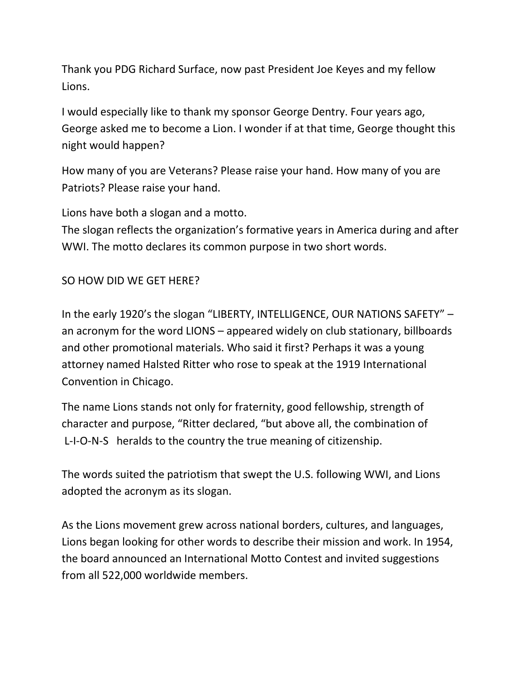Thank you PDG Richard Surface, now past President Joe Keyes and my fellow Lions.

I would especially like to thank my sponsor George Dentry. Four years ago, George asked me to become a Lion. I wonder if at that time, George thought this night would happen?

How many of you are Veterans? Please raise your hand. How many of you are Patriots? Please raise your hand.

Lions have both a slogan and a motto.

The slogan reflects the organization's formative years in America during and after WWI. The motto declares its common purpose in two short words.

SO HOW DID WE GET HERE?

In the early 1920's the slogan "LIBERTY, INTELLIGENCE, OUR NATIONS SAFETY" – an acronym for the word LIONS – appeared widely on club stationary, billboards and other promotional materials. Who said it first? Perhaps it was a young attorney named Halsted Ritter who rose to speak at the 1919 International Convention in Chicago.

The name Lions stands not only for fraternity, good fellowship, strength of character and purpose, "Ritter declared, "but above all, the combination of L-I-O-N-S heralds to the country the true meaning of citizenship.

The words suited the patriotism that swept the U.S. following WWI, and Lions adopted the acronym as its slogan.

As the Lions movement grew across national borders, cultures, and languages, Lions began looking for other words to describe their mission and work. In 1954, the board announced an International Motto Contest and invited suggestions from all 522,000 worldwide members.